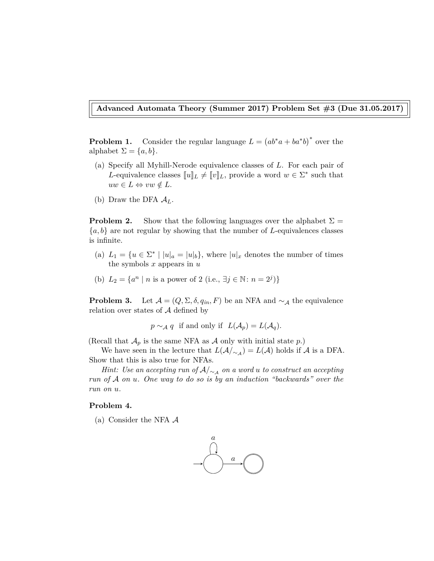**Advanced Automata Theory (Summer 2017) Problem Set #3 (Due 31.05.2017)**

**Problem 1.** Consider the regular language  $L = (ab^*a + ba^*b)^*$  over the alphabet  $\Sigma = \{a, b\}.$ 

- (a) Specify all Myhill-Nerode equivalence classes of *L*. For each pair of *L*-equivalence classes  $[[u]]_L \neq [[v]]_L$ , provide a word  $w \in \Sigma^*$  such that  $uw \in L \Leftrightarrow vw \notin L.$
- (b) Draw the DFA  $A_L$ .

**Problem 2.** Show that the following languages over the alphabet  $\Sigma$  = {*a, b*} are not regular by showing that the number of *L*-equivalences classes is infinite.

- (a)  $L_1 = \{u \in \Sigma^* \mid |u|_a = |u|_b\}$ , where  $|u|_x$  denotes the number of times the symbols *x* appears in *u*
- (b)  $L_2 = \{a^n \mid n \text{ is a power of } 2 \text{ (i.e., } \exists j \in \mathbb{N} : n = 2^j)\}\$

**Problem 3.** Let  $\mathcal{A} = (Q, \Sigma, \delta, q_{in}, F)$  be an NFA and  $\sim_{\mathcal{A}}$  the equivalence relation over states of  $A$  defined by

$$
p \sim_{\mathcal{A}} q
$$
 if and only if  $L(\mathcal{A}_p) = L(\mathcal{A}_q)$ .

(Recall that  $\mathcal{A}_p$  is the same NFA as  $\mathcal A$  only with initial state  $p$ .)

We have seen in the lecture that  $L(\mathcal{A}/_{\sim_{\mathcal{A}}}) = L(\mathcal{A})$  holds if  $\mathcal A$  is a DFA. Show that this is also true for NFAs.

*Hint: Use an accepting run of*  $A/∼_A$  *on a word*  $u$  *to construct an accepting run of* A *on u. One way to do so is by an induction "backwards" over the run on u.*

## **Problem 4.**

(a) Consider the NFA  $\mathcal A$ 

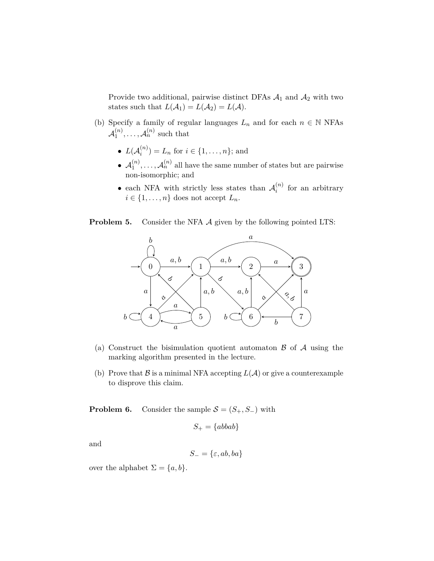Provide two additional, pairwise distinct DFAs  $A_1$  and  $A_2$  with two states such that  $L(\mathcal{A}_1) = L(\mathcal{A}_2) = L(\mathcal{A}).$ 

- (b) Specify a family of regular languages  $L_n$  and for each  $n \in \mathbb{N}$  NFAs  $\mathcal{A}^{(n)}_1$  $\mathcal{A}_1^{(n)}, \ldots, \mathcal{A}_n^{(n)}$  such that
	- $\bullet$   $L({\cal A}_i^{(n)}$  $i_i^{(n)}$ ) =  $L_n$  for  $i \in \{1, ..., n\}$ ; and
	- $\bullet$   $\mathcal{A}_1^{(n)}$  $\mathcal{A}_1^{(n)}, \ldots, \mathcal{A}_n^{(n)}$  all have the same number of states but are pairwise non-isomorphic; and
	- each NFA with strictly less states than  $\mathcal{A}_i^{(n)}$  $i^{(n)}$  for an arbitrary  $i \in \{1, \ldots, n\}$  does not accept  $L_n$ .

**Problem 5.** Consider the NFA A given by the following pointed LTS:



- (a) Construct the bisimulation quotient automaton  $\beta$  of  $\mathcal A$  using the marking algorithm presented in the lecture.
- (b) Prove that  $\beta$  is a minimal NFA accepting  $L(\mathcal{A})$  or give a counterexample to disprove this claim.

**Problem 6.** Consider the sample  $S = (S_+, S_-)$  with

$$
S_+ = \{abbab\}
$$

and

$$
S_- = \{\varepsilon, ab, ba\}
$$

over the alphabet  $\Sigma = \{a, b\}.$